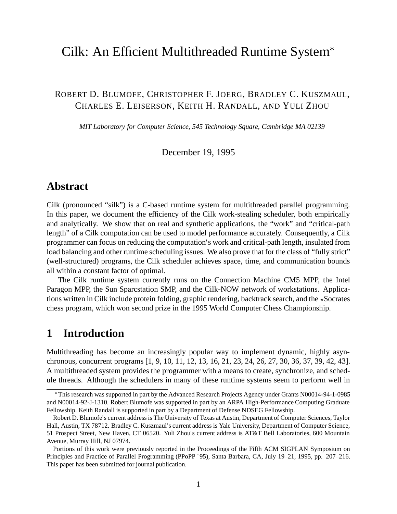# Cilk: An Efficient Multithreaded Runtime System

#### ROBERT D. BLUMOFE, CHRISTOPHER F. JOERG, BRADLEY C. KUSZMAUL, CHARLES E. LEISERSON, KEITH H. RANDALL, AND YULI ZHOU

*MIT Laboratory for Computer Science, 545 Technology Square, Cambridge MA 02139*

December 19, 1995

### **Abstract**

Cilk (pronounced "silk") is a C-based runtime system for multithreaded parallel programming. In this paper, we document the efficiency of the Cilk work-stealing scheduler, both empirically and analytically. We show that on real and synthetic applications, the "work" and "critical-path length" of a Cilk computation can be used to model performance accurately. Consequently, a Cilk programmer can focus on reducing the computation's work and critical-path length, insulated from load balancing and other runtime scheduling issues. We also prove that for the class of "fully strict" (well-structured) programs, the Cilk scheduler achieves space, time, and communication bounds all within a constant factor of optimal.

The Cilk runtime system currently runs on the Connection Machine CM5 MPP, the Intel Paragon MPP, the Sun Sparcstation SMP, and the Cilk-NOW network of workstations. Applications written in Cilk include protein folding, graphic rendering, backtrack search, and the  $\star$ Socrates chess program, which won second prize in the 1995 World Computer Chess Championship.

## **1 Introduction**

Multithreading has become an increasingly popular way to implement dynamic, highly asynchronous, concurrent programs [1, 9, 10, 11, 12, 13, 16, 21, 23, 24, 26, 27, 30, 36, 37, 39, 42, 43]. A multithreaded system provides the programmer with a means to create, synchronize, and schedule threads. Although the schedulers in many of these runtime systems seem to perform well in

This research was supported in part by the Advanced Research Projects Agency under Grants N00014-94-1-0985 and N00014-92-J-1310. Robert Blumofe was supported in part by an ARPA High-Performance Computing Graduate Fellowship. Keith Randall is supported in part by a Department of Defense NDSEG Fellowship.

Robert D. Blumofe's current address is The University of Texas at Austin, Department of Computer Sciences, Taylor Hall, Austin, TX 78712. Bradley C. Kuszmaul's current address is Yale University, Department of Computer Science, 51 Prospect Street, New Haven, CT 06520. Yuli Zhou's current address is AT&T Bell Laboratories, 600 Mountain Avenue, Murray Hill, NJ 07974.

Portions of this work were previously reported in the Proceedings of the Fifth ACM SIGPLAN Symposium on Principles and Practice of Parallel Programming (PPoPP ' 95), Santa Barbara, CA, July 19–21, 1995, pp. 207–216. This paper has been submitted for journal publication.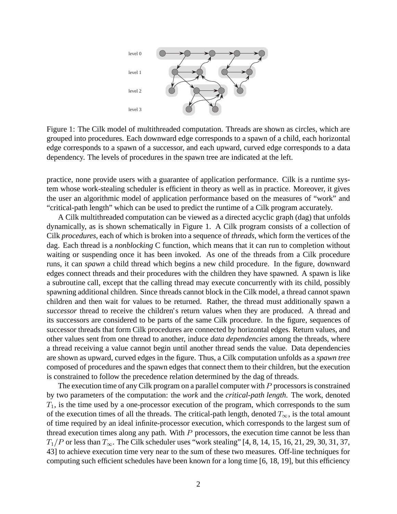

Figure 1: The Cilk model of multithreaded computation. Threads are shown as circles, which are grouped into procedures. Each downward edge corresponds to a spawn of a child, each horizontal edge corresponds to a spawn of a successor, and each upward, curved edge corresponds to a data dependency. The levels of procedures in the spawn tree are indicated at the left.

practice, none provide users with a guarantee of application performance. Cilk is a runtime system whose work-stealing scheduler is efficient in theory as well as in practice. Moreover, it gives the user an algorithmic model of application performance based on the measures of "work" and "critical-path length" which can be used to predict the runtime of a Cilk program accurately.

A Cilk multithreaded computation can be viewed as a directed acyclic graph (dag) that unfolds dynamically, as is shown schematically in Figure 1. A Cilk program consists of a collection of Cilk *procedures*, each of which is broken into a sequence of *threads*, which form the vertices of the dag. Each thread is a *nonblocking* C function, which means that it can run to completion without waiting or suspending once it has been invoked. As one of the threads from a Cilk procedure runs, it can *spawn* a child thread which begins a new child procedure. In the figure, downward edges connect threads and their procedures with the children they have spawned. A spawn is like a subroutine call, except that the calling thread may execute concurrently with its child, possibly spawning additional children. Since threads cannot block in the Cilk model, a thread cannot spawn children and then wait for values to be returned. Rather, the thread must additionally spawn a *successor* thread to receive the children's return values when they are produced. A thread and its successors are considered to be parts of the same Cilk procedure. In the figure, sequences of successor threads that form Cilk procedures are connected by horizontal edges. Return values, and other values sent from one thread to another, induce *data dependencies* among the threads, where a thread receiving a value cannot begin until another thread sends the value. Data dependencies are shown as upward, curved edges in the figure. Thus, a Cilk computation unfolds as a *spawn tree* composed of procedures and the spawn edges that connect them to their children, but the execution is constrained to follow the precedence relation determined by the dag of threads.

The execution time of any Cilk program on a parallel computer with  $P$  processors is constrained by two parameters of the computation: the *work* and the *critical-path length*. The work, denoted  $T_1$ , is the time used by a one-processor execution of the program, which corresponds to the sum of the execution times of all the threads. The critical-path length, denoted  $T_{\infty}$ , is the total amount of time required by an ideal infinite-processor execution, which corresponds to the largest sum of thread execution times along any path. With  $P$  processors, the execution time cannot be less than  $T_1/P$  or less than  $T_\infty$ . The Cilk scheduler uses "work stealing" [4, 8, 14, 15, 16, 21, 29, 30, 31, 37, 43] to achieve execution time very near to the sum of these two measures. Off-line techniques for computing such efficient schedules have been known for a long time [6, 18, 19], but this efficiency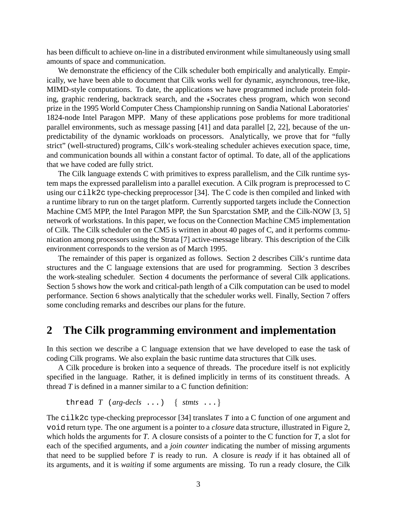has been difficult to achieve on-line in a distributed environment while simultaneously using small amounts of space and communication.

We demonstrate the efficiency of the Cilk scheduler both empirically and analytically. Empirically, we have been able to document that Cilk works well for dynamic, asynchronous, tree-like, MIMD-style computations. To date, the applications we have programmed include protein folding, graphic rendering, backtrack search, and the  $\star$ Socrates chess program, which won second prize in the 1995 World Computer Chess Championship running on Sandia National Laboratories' 1824-node Intel Paragon MPP. Many of these applications pose problems for more traditional parallel environments, such as message passing [41] and data parallel [2, 22], because of the unpredictability of the dynamic workloads on processors. Analytically, we prove that for "fully strict" (well-structured) programs, Cilk's work-stealing scheduler achieves execution space, time, and communication bounds all within a constant factor of optimal. To date, all of the applications that we have coded are fully strict.

The Cilk language extends C with primitives to express parallelism, and the Cilk runtime system maps the expressed parallelism into a parallel execution. A Cilk program is preprocessed to C using our cilk2c type-checking preprocessor [34]. The C code is then compiled and linked with a runtime library to run on the target platform. Currently supported targets include the Connection Machine CM5 MPP, the Intel Paragon MPP, the Sun Sparcstation SMP, and the Cilk-NOW [3, 5] network of workstations. In this paper, we focus on the Connection Machine CM5 implementation of Cilk. The Cilk scheduler on the CM5 is written in about 40 pages of C, and it performs communication among processors using the Strata [7] active-message library. This description of the Cilk environment corresponds to the version as of March 1995.

The remainder of this paper is organized as follows. Section 2 describes Cilk's runtime data structures and the C language extensions that are used for programming. Section 3 describes the work-stealing scheduler. Section 4 documents the performance of several Cilk applications. Section 5 shows how the work and critical-path length of a Cilk computation can be used to model performance. Section 6 shows analytically that the scheduler works well. Finally, Section 7 offers some concluding remarks and describes our plans for the future.

## **2 The Cilk programming environment and implementation**

In this section we describe a C language extension that we have developed to ease the task of coding Cilk programs. We also explain the basic runtime data structures that Cilk uses.

A Cilk procedure is broken into a sequence of threads. The procedure itself is not explicitly specified in the language. Rather, it is defined implicitly in terms of its constituent threads. A thread *T* is defined in a manner similar to a C function definition:

```
thread T (arg-decls ...) { stmts ...}
```
The cilk2c type-checking preprocessor [34] translates *T* into a C function of one argument and void return type. The one argument is a pointer to a *closure* data structure, illustrated in Figure 2, which holds the arguments for *T*. A closure consists of a pointer to the C function for *T*, a slot for each of the specified arguments, and a *join counter* indicating the number of missing arguments that need to be supplied before *T* is ready to run. A closure is *ready* if it has obtained all of its arguments, and it is *waiting* if some arguments are missing. To run a ready closure, the Cilk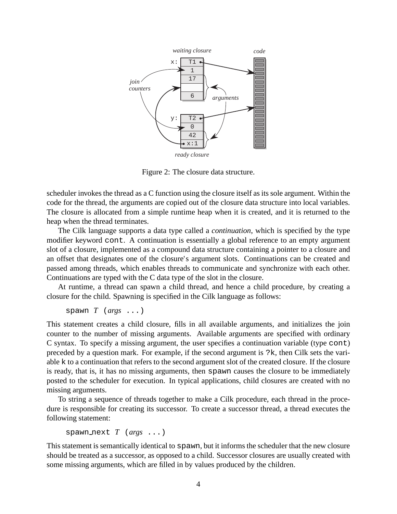

Figure 2: The closure data structure.

scheduler invokes the thread as a C function using the closure itself as its sole argument. Within the code for the thread, the arguments are copied out of the closure data structure into local variables. The closure is allocated from a simple runtime heap when it is created, and it is returned to the heap when the thread terminates.

The Cilk language supports a data type called a *continuation*, which is specified by the type modifier keyword cont. A continuation is essentially a global reference to an empty argument slot of a closure, implemented as a compound data structure containing a pointer to a closure and an offset that designates one of the closure's argument slots. Continuations can be created and passed among threads, which enables threads to communicate and synchronize with each other. Continuations are typed with the C data type of the slot in the closure.

At runtime, a thread can spawn a child thread, and hence a child procedure, by creating a closure for the child. Spawning is specified in the Cilk language as follows:

```
spawn T (args ...)
```
This statement creates a child closure, fills in all available arguments, and initializes the join counter to the number of missing arguments. Available arguments are specified with ordinary C syntax. To specify a missing argument, the user specifies a continuation variable (type cont) preceded by a question mark. For example, if the second argument is ?k, then Cilk sets the variable k to a continuation that refers to the second argument slot of the created closure. If the closure is ready, that is, it has no missing arguments, then spawn causes the closure to be immediately posted to the scheduler for execution. In typical applications, child closures are created with no missing arguments.

To string a sequence of threads together to make a Cilk procedure, each thread in the procedure is responsible for creating its successor. To create a successor thread, a thread executes the following statement:

```
spawn next T (args ...)
```
This statement is semantically identical to spawn, but it informs the scheduler that the new closure should be treated as a successor, as opposed to a child. Successor closures are usually created with some missing arguments, which are filled in by values produced by the children.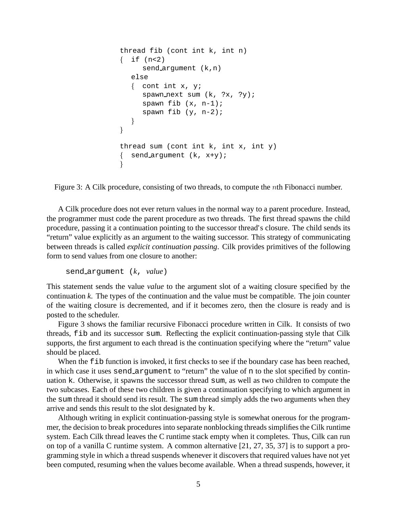```
thread fib (cont int k, int n)
\{ \text{if } (n<2)send_arqument (k,n)
  else
   \{ cont int x, y;
     spawn next sum (k, ?x, ?y);
     spawn fib (x, n-1);
     spawn fib (y, n-2);
  \}\mathcal{F}thread sum (cont int k, int x, int y)
  send argument (k, x+y);
\}
```
Figure 3: A Cilk procedure, consisting of two threads, to compute the <sup>n</sup>th Fibonacci number.

A Cilk procedure does not ever return values in the normal way to a parent procedure. Instead, the programmer must code the parent procedure as two threads. The first thread spawns the child procedure, passing it a continuation pointing to the successor thread's closure. The child sends its "return" value explicitly as an argument to the waiting successor. This strategy of communicating between threads is called *explicit continuation passing*. Cilk provides primitives of the following form to send values from one closure to another:

send argument (*k*, *value*)

This statement sends the value *value* to the argument slot of a waiting closure specified by the continuation *k*. The types of the continuation and the value must be compatible. The join counter of the waiting closure is decremented, and if it becomes zero, then the closure is ready and is posted to the scheduler.

Figure 3 shows the familiar recursive Fibonacci procedure written in Cilk. It consists of two threads, fib and its successor sum. Reflecting the explicit continuation-passing style that Cilk supports, the first argument to each thread is the continuation specifying where the "return" value should be placed.

When the fib function is invoked, it first checks to see if the boundary case has been reached, in which case it uses send argument to "return" the value of n to the slot specified by continuation k. Otherwise, it spawns the successor thread sum, as well as two children to compute the two subcases. Each of these two children is given a continuation specifying to which argument in the sum thread it should send its result. The sum thread simply adds the two arguments when they arrive and sends this result to the slot designated by k.

Although writing in explicit continuation-passing style is somewhat onerous for the programmer, the decision to break procedures into separate nonblocking threads simplifies the Cilk runtime system. Each Cilk thread leaves the C runtime stack empty when it completes. Thus, Cilk can run on top of a vanilla C runtime system. A common alternative [21, 27, 35, 37] is to support a programming style in which a thread suspends whenever it discovers that required values have not yet been computed, resuming when the values become available. When a thread suspends, however, it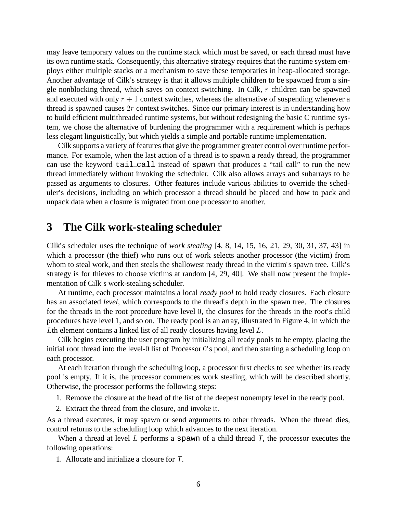may leave temporary values on the runtime stack which must be saved, or each thread must have its own runtime stack. Consequently, this alternative strategy requires that the runtime system employs either multiple stacks or a mechanism to save these temporaries in heap-allocated storage. Another advantage of Cilk's strategy is that it allows multiple children to be spawned from a single nonblocking thread, which saves on context switching. In Cilk, <sup>r</sup> children can be spawned and executed with only  $r + 1$  context switches, whereas the alternative of suspending whenever a thread is spawned causes  $2r$  context switches. Since our primary interest is in understanding how to build efficient multithreaded runtime systems, but without redesigning the basic C runtime system, we chose the alternative of burdening the programmer with a requirement which is perhaps less elegant linguistically, but which yields a simple and portable runtime implementation.

Cilk supports a variety of features that give the programmer greater control over runtime performance. For example, when the last action of a thread is to spawn a ready thread, the programmer can use the keyword tail call instead of spawn that produces a "tail call" to run the new thread immediately without invoking the scheduler. Cilk also allows arrays and subarrays to be passed as arguments to closures. Other features include various abilities to override the scheduler's decisions, including on which processor a thread should be placed and how to pack and unpack data when a closure is migrated from one processor to another.

### **3 The Cilk work-stealing scheduler**

Cilk's scheduler uses the technique of *work stealing* [4, 8, 14, 15, 16, 21, 29, 30, 31, 37, 43] in which a processor (the thief) who runs out of work selects another processor (the victim) from whom to steal work, and then steals the shallowest ready thread in the victim's spawn tree. Cilk's strategy is for thieves to choose victims at random [4, 29, 40]. We shall now present the implementation of Cilk's work-stealing scheduler.

At runtime, each processor maintains a local *ready pool* to hold ready closures. Each closure has an associated *level*, which corresponds to the thread's depth in the spawn tree. The closures for the threads in the root procedure have level <sup>0</sup>, the closures for the threads in the root's child procedures have level <sup>1</sup>, and so on. The ready pool is an array, illustrated in Figure 4, in which the <sup>L</sup>th element contains a linked list of all ready closures having level <sup>L</sup>.

Cilk begins executing the user program by initializing all ready pools to be empty, placing the initial root thread into the level-<sup>0</sup> list of Processor <sup>0</sup>'s pool, and then starting a scheduling loop on each processor.

At each iteration through the scheduling loop, a processor first checks to see whether its ready pool is empty. If it is, the processor commences work stealing, which will be described shortly. Otherwise, the processor performs the following steps:

1. Remove the closure at the head of the list of the deepest nonempty level in the ready pool.

2. Extract the thread from the closure, and invoke it.

As a thread executes, it may spawn or send arguments to other threads. When the thread dies, control returns to the scheduling loop which advances to the next iteration.

When a thread at level  $L$  performs a spawn of a child thread  $T$ , the processor executes the following operations:

1. Allocate and initialize a closure for <sup>T</sup>.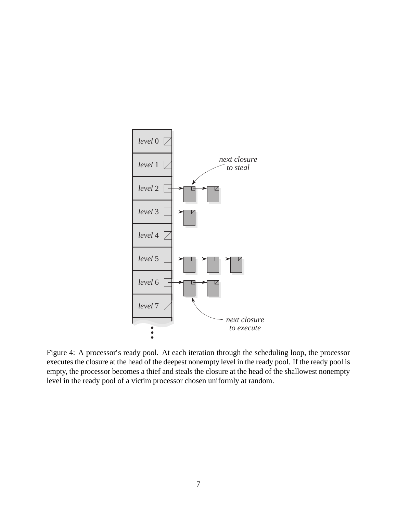

Figure 4: A processor's ready pool. At each iteration through the scheduling loop, the processor executes the closure at the head of the deepest nonempty level in the ready pool. If the ready pool is empty, the processor becomes a thief and steals the closure at the head of the shallowest nonempty level in the ready pool of a victim processor chosen uniformly at random.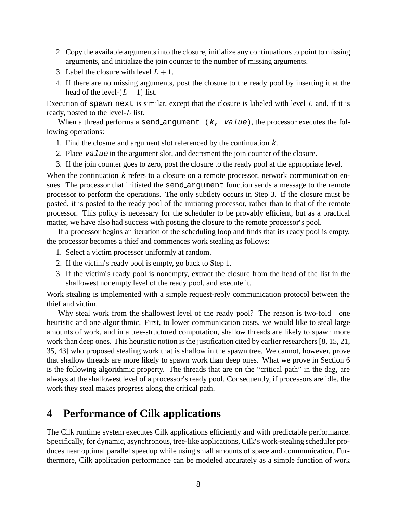- 2. Copy the available arguments into the closure, initialize any continuations to point to missing arguments, and initialize the join counter to the number of missing arguments.
- 3. Label the closure with level  $L + 1$ .
- 4. If there are no missing arguments, post the closure to the ready pool by inserting it at the head of the level- $(L + 1)$  list.

Execution of spawn next is similar, except that the closure is labeled with level  $L$  and, if it is ready, posted to the level-<sup>L</sup> list.

When a thread performs a send argument  $(k, value)$ , the processor executes the following operations:

- 1. Find the closure and argument slot referenced by the continuation <sup>k</sup>.
- 2. Place value in the argument slot, and decrement the join counter of the closure.
- 3. If the join counter goes to zero, post the closure to the ready pool at the appropriate level.

When the continuation  $k$  refers to a closure on a remote processor, network communication ensues. The processor that initiated the send argument function sends a message to the remote processor to perform the operations. The only subtlety occurs in Step 3. If the closure must be posted, it is posted to the ready pool of the initiating processor, rather than to that of the remote processor. This policy is necessary for the scheduler to be provably efficient, but as a practical matter, we have also had success with posting the closure to the remote processor's pool.

If a processor begins an iteration of the scheduling loop and finds that its ready pool is empty, the processor becomes a thief and commences work stealing as follows:

- 1. Select a victim processor uniformly at random.
- 2. If the victim's ready pool is empty, go back to Step 1.
- 3. If the victim's ready pool is nonempty, extract the closure from the head of the list in the shallowest nonempty level of the ready pool, and execute it.

Work stealing is implemented with a simple request-reply communication protocol between the thief and victim.

Why steal work from the shallowest level of the ready pool? The reason is two-fold—one heuristic and one algorithmic. First, to lower communication costs, we would like to steal large amounts of work, and in a tree-structured computation, shallow threads are likely to spawn more work than deep ones. This heuristic notion is the justification cited by earlier researchers [8, 15, 21, 35, 43] who proposed stealing work that is shallow in the spawn tree. We cannot, however, prove that shallow threads are more likely to spawn work than deep ones. What we prove in Section 6 is the following algorithmic property. The threads that are on the "critical path" in the dag, are always at the shallowest level of a processor's ready pool. Consequently, if processors are idle, the work they steal makes progress along the critical path.

### **4 Performance of Cilk applications**

The Cilk runtime system executes Cilk applications efficiently and with predictable performance. Specifically, for dynamic, asynchronous, tree-like applications, Cilk's work-stealing scheduler produces near optimal parallel speedup while using small amounts of space and communication. Furthermore, Cilk application performance can be modeled accurately as a simple function of work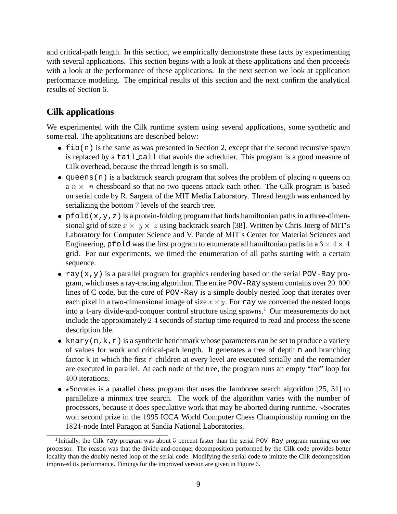and critical-path length. In this section, we empirically demonstrate these facts by experimenting with several applications. This section begins with a look at these applications and then proceeds with a look at the performance of these applications. In the next section we look at application performance modeling. The empirical results of this section and the next confirm the analytical results of Section 6.

## **Cilk applications**

We experimented with the Cilk runtime system using several applications, some synthetic and some real. The applications are described below:

- $\bullet$  fib(n) is the same as was presented in Section 2, except that the second recursive spawn is replaced by a tail call that avoids the scheduler. This program is a good measure of Cilk overhead, because the thread length is so small.
- queens (n) is a backtrack search program that solves the problem of placing n queens on a  $n \times n$  chessboard so that no two queens attack each other. The Cilk program is based on serial code by R. Sargent of the MIT Media Laboratory. Thread length was enhanced by serializing the bottom <sup>7</sup> levels of the search tree.
- $pfold(x,y,z)$  is a protein-folding program that finds hamiltonian paths in a three-dimensional grid of size  $x \times y \times z$  using backtrack search [38]. Written by Chris Joerg of MIT's Laboratory for Computer Science and V. Pande of MIT's Center for Material Sciences and Engineering, pfold was the first program to enumerate all hamiltonian paths in a  $3 \times 4 \times 4$ grid. For our experiments, we timed the enumeration of all paths starting with a certain sequence.
- $ray(x, y)$  is a parallel program for graphics rendering based on the serial POV-Ray program, which uses a ray-tracing algorithm. The entire POV-Ray system contains over 20; <sup>000</sup> lines of C code, but the core of POV-Ray is a simple doubly nested loop that iterates over each pixel in a two-dimensional image of size  $x \times y$ . For  $r \infty$  we converted the nested loops into a 4-ary divide-and-conquer control structure using spawns.<sup>1</sup> Our measurements do not include the approximately 2:4 seconds of startup time required to read and process the scene description file.
- knary  $(n, k, r)$  is a synthetic benchmark whose parameters can be set to produce a variety of values for work and critical-path length. It generates a tree of depth n and branching factor  $k$  in which the first  $r$  children at every level are executed serially and the remainder are executed in parallel. At each node of the tree, the program runs an empty "for" loop for 400 iterations.
- $\star$ Socrates is a parallel chess program that uses the Jamboree search algorithm [25, 31] to parallelize a minmax tree search. The work of the algorithm varies with the number of processors, because it does speculative work that may be aborted during runtime.  $\star$ Socrates won second prize in the 1995 ICCA World Computer Chess Championship running on the <sup>1824</sup>-node Intel Paragon at Sandia National Laboratories.

<sup>&</sup>lt;sup>1</sup>Initially, the Cilk ray program was about 5 percent faster than the serial POV-Ray program running on one processor. The reason was that the divide-and-conquer decomposition performed by the Cilk code provides better locality than the doubly nested loop of the serial code. Modifying the serial code to imitate the Cilk decomposition improved its performance. Timings for the improved version are given in Figure 6.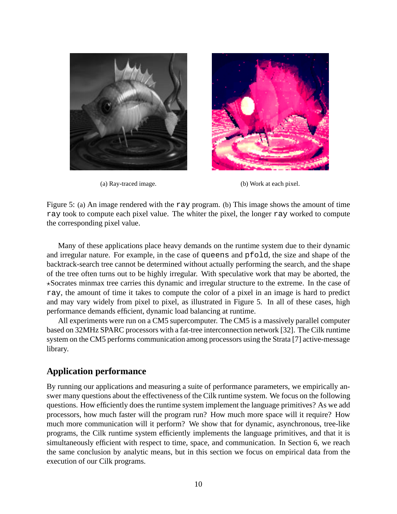



Figure 5: (a) An image rendered with the ray program. (b) This image shows the amount of time ray took to compute each pixel value. The whiter the pixel, the longer ray worked to compute the corresponding pixel value.

Many of these applications place heavy demands on the runtime system due to their dynamic and irregular nature. For example, in the case of queens and pfold, the size and shape of the backtrack-search tree cannot be determined without actually performing the search, and the shape of the tree often turns out to be highly irregular. With speculative work that may be aborted, the  $\star$ Socrates minmax tree carries this dynamic and irregular structure to the extreme. In the case of ray, the amount of time it takes to compute the color of a pixel in an image is hard to predict and may vary widely from pixel to pixel, as illustrated in Figure 5. In all of these cases, high performance demands efficient, dynamic load balancing at runtime.

All experiments were run on a CM5 supercomputer. The CM5 is a massively parallel computer based on 32MHz SPARC processors with a fat-tree interconnection network [32]. The Cilk runtime system on the CM5 performs communication among processors using the Strata [7] active-message library.

#### **Application performance**

By running our applications and measuring a suite of performance parameters, we empirically answer many questions about the effectiveness of the Cilk runtime system. We focus on the following questions. How efficiently does the runtime system implement the language primitives? As we add processors, how much faster will the program run? How much more space will it require? How much more communication will it perform? We show that for dynamic, asynchronous, tree-like programs, the Cilk runtime system efficiently implements the language primitives, and that it is simultaneously efficient with respect to time, space, and communication. In Section 6, we reach the same conclusion by analytic means, but in this section we focus on empirical data from the execution of our Cilk programs.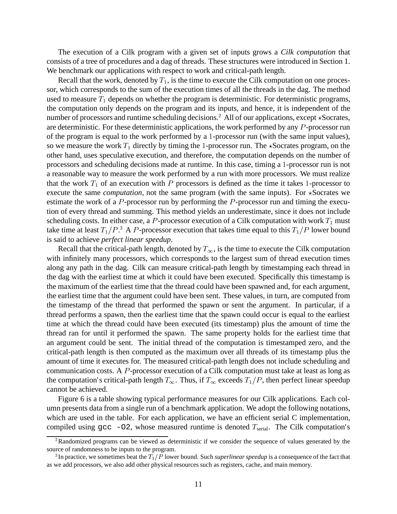The execution of a Cilk program with a given set of inputs grows a *Cilk computation* that consists of a tree of procedures and a dag of threads. These structures were introduced in Section 1. We benchmark our applications with respect to work and critical-path length.

Recall that the work, denoted by  $T_1$ , is the time to execute the Cilk computation on one processor, which corresponds to the sum of the execution times of all the threads in the dag. The method used to measure  $T_1$  depends on whether the program is deterministic. For deterministic programs, the computation only depends on the program and its inputs, and hence, it is independent of the number of processors and runtime scheduling decisions.<sup>2</sup> All of our applications, except  $\star$ Socrates, are deterministic. For these deterministic applications, the work performed by any P-processor run of the program is equal to the work performed by a <sup>1</sup>-processor run (with the same input values), so we measure the work  $T_1$  directly by timing the 1-processor run. The  $\star$ Socrates program, on the other hand, uses speculative execution, and therefore, the computation depends on the number of processors and scheduling decisions made at runtime. In this case, timing a <sup>1</sup>-processor run is not a reasonable way to measure the work performed by a run with more processors. We must realize that the work  $T_1$  of an execution with P processors is defined as the time it takes 1-processor to execute the same *computation*, not the same program (with the same inputs). For  $\star$ Socrates we estimate the work of a  $P$ -processor run by performing the  $P$ -processor run and timing the execution of every thread and summing. This method yields an underestimate, since it does not include scheduling costs. In either case, a  $P$ -processor execution of a Cilk computation with work  $T_1$  must take time at least  $T_1/P$ .<sup>3</sup> A P-processor execution that takes time equal to this  $T_1/P$  lower bound is said to achieve *perfect linear speedup*.

Recall that the critical-path length, denoted by  $T_{\infty}$ , is the time to execute the Cilk computation with infinitely many processors, which corresponds to the largest sum of thread execution times along any path in the dag. Cilk can measure critical-path length by timestamping each thread in the dag with the earliest time at which it could have been executed. Specifically this timestamp is the maximum of the earliest time that the thread could have been spawned and, for each argument, the earliest time that the argument could have been sent. These values, in turn, are computed from the timestamp of the thread that performed the spawn or sent the argument. In particular, if a thread performs a spawn, then the earliest time that the spawn could occur is equal to the earliest time at which the thread could have been executed (its timestamp) plus the amount of time the thread ran for until it performed the spawn. The same property holds for the earliest time that an argument could be sent. The initial thread of the computation is timestamped zero, and the critical-path length is then computed as the maximum over all threads of its timestamp plus the amount of time it executes for. The measured critical-path length does not include scheduling and communication costs. A P-processor execution of a Cilk computation must take at least as long as the computation's critical-path length  $T_{\infty}$ . Thus, if  $T_{\infty}$  exceeds  $T_1/P$ , then perfect linear speedup cannot be achieved.

Figure 6 is a table showing typical performance measures for our Cilk applications. Each column presents data from a single run of a benchmark application. We adopt the following notations, which are used in the table. For each application, we have an efficient serial C implementation, compiled using gcc -02, whose measured runtime is denoted  $T_{\text{serial}}$ . The Cilk computation's

<sup>&</sup>lt;sup>2</sup>Randomized programs can be viewed as deterministic if we consider the sequence of values generated by the source of randomness to be inputs to the program.

 ${}^{3}$ In practice, we sometimes beat the  $T_1/P$  lower bound. Such *superlinear speedup* is a consequence of the fact that as we add processors, we also add other physical resources such as registers, cache, and main memory.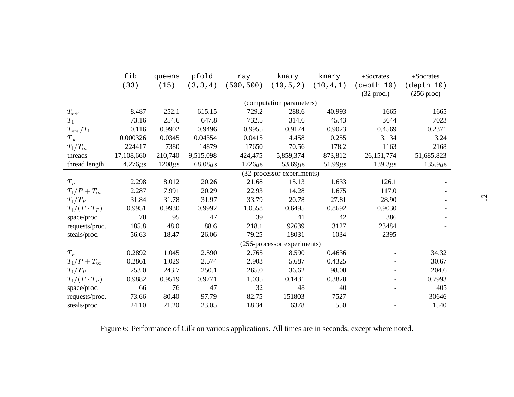|                      | fib                         | queens                     | pfold         | ray         | knary         | knary         | $\star$ Socrates     | $\star$ Socrates     |  |
|----------------------|-----------------------------|----------------------------|---------------|-------------|---------------|---------------|----------------------|----------------------|--|
|                      | (33)                        | (15)                       | (3,3,4)       | (500, 500)  | (10, 5, 2)    | (10, 4, 1)    | (depth 10)           | (depth 10)           |  |
|                      |                             |                            |               |             |               |               | $(32 \text{ proc.})$ | $(256 \text{ proc})$ |  |
|                      | (computation parameters)    |                            |               |             |               |               |                      |                      |  |
| $T_{\rm serial}$     | 8.487                       | 252.1                      | 615.15        | 729.2       | 288.6         | 40.993        | 1665                 | 1665                 |  |
| $T_1$                | 73.16                       | 254.6                      | 647.8         | 732.5       | 314.6         | 45.43         | 3644                 | 7023                 |  |
| $T_{\rm serial}/T_1$ | 0.116                       | 0.9902                     | 0.9496        | 0.9955      | 0.9174        | 0.9023        | 0.4569               | 0.2371               |  |
| $T_\infty$           | 0.000326                    | 0.0345                     | 0.04354       | 0.0415      | 4.458         | 0.255         | 3.134                | 3.24                 |  |
| $T_1/T_\infty$       | 224417                      | 7380                       | 14879         | 17650       | 70.56         | 178.2         | 1163                 | 2168                 |  |
| threads              | 17,108,660                  | 210,740                    | 9,515,098     | 424,475     | 5,859,374     | 873,812       | 26, 151, 774         | 51,685,823           |  |
| thread length        | $4.276 \mu s$               | $1208\mu s$                | 68.08 $\mu$ s | $1726\mu s$ | 53.69 $\mu$ s | $51.99 \mu s$ | $139.3\mu s$         | $135.9\mu s$         |  |
|                      |                             | (32-processor experiments) |               |             |               |               |                      |                      |  |
| $T_P$                | 2.298                       | 8.012                      | 20.26         | 21.68       | 15.13         | 1.633         | 126.1                |                      |  |
| $T_1/P+T_\infty$     | 2.287                       | 7.991                      | 20.29         | 22.93       | 14.28         | 1.675         | 117.0                |                      |  |
| $T_1/T_P$            | 31.84                       | 31.78                      | 31.97         | 33.79       | 20.78         | 27.81         | 28.90                |                      |  |
| $T_1/(P \cdot T_P)$  | 0.9951                      | 0.9930                     | 0.9992        | 1.0558      | 0.6495        | 0.8692        | 0.9030               |                      |  |
| space/proc.          | 70                          | 95                         | 47            | 39          | 41            | 42            | 386                  |                      |  |
| requests/proc.       | 185.8                       | 48.0                       | 88.6          | 218.1       | 92639         | 3127          | 23484                |                      |  |
| steals/proc.         | 56.63                       | 18.47                      | 26.06         | 79.25       | 18031         | 1034          | 2395                 |                      |  |
|                      | (256-processor experiments) |                            |               |             |               |               |                      |                      |  |
| $T_P$                | 0.2892                      | 1.045                      | 2.590         | 2.765       | 8.590         | 0.4636        |                      | 34.32                |  |
| $T_1/P+T_\infty$     | 0.2861                      | 1.029                      | 2.574         | 2.903       | 5.687         | 0.4325        |                      | 30.67                |  |
| $T_1/T_P$            | 253.0                       | 243.7                      | 250.1         | 265.0       | 36.62         | 98.00         |                      | 204.6                |  |
| $T_1/(P \cdot T_P)$  | 0.9882                      | 0.9519                     | 0.9771        | 1.035       | 0.1431        | 0.3828        |                      | 0.7993               |  |
| space/proc.          | 66                          | 76                         | 47            | 32          | 48            | 40            |                      | 405                  |  |
| requests/proc.       | 73.66                       | 80.40                      | 97.79         | 82.75       | 151803        | 7527          |                      | 30646                |  |
| steals/proc.         | 24.10                       | 21.20                      | 23.05         | 18.34       | 6378          | 550           |                      | 1540                 |  |

Figure 6: Performance of Cilk on various applications. All times are in seconds, excep<sup>t</sup> where noted.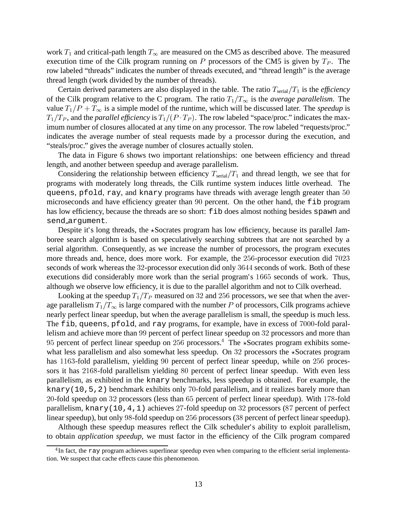work  $T_1$  and critical-path length  $T_{\infty}$  are measured on the CM5 as described above. The measured execution time of the Cilk program running on  $P$  processors of the CM5 is given by  $T_P$ . The row labeled "threads" indicates the number of threads executed, and "thread length" is the average thread length (work divided by the number of threads).

Certain derived parameters are also displayed in the table. The ratio  $T_{\text{serial}}/T_1$  is the *efficiency* of the Cilk program relative to the C program. The ratio  $T_1/T_\infty$  is the *average parallelism*. The value  $T_1/P + T_\infty$  is a simple model of the runtime, which will be discussed later. The *speedup* is  $T_1/T_P$ , and the *parallel efficiency* is  $T_1/(P \cdot T_P)$ . The row labeled "space/proc." indicates the maximum number of closures allocated at any time on any processor. The row labeled "requests/proc." indicates the average number of steal requests made by a processor during the execution, and "steals/proc." gives the average number of closures actually stolen.

The data in Figure 6 shows two important relationships: one between efficiency and thread length, and another between speedup and average parallelism.

Considering the relationship between efficiency  $T_{\text{serial}}/T_1$  and thread length, we see that for programs with moderately long threads, the Cilk runtime system induces little overhead. The queens, pfold, ray, and knary programs have threads with average length greater than <sup>50</sup> microseconds and have efficiency greater than <sup>90</sup> percent. On the other hand, the fib program has low efficiency, because the threads are so short:  $fib$  does almost nothing besides spawn and send argument.

Despite it's long threads, the  $\star$ Socrates program has low efficiency, because its parallel Jamboree search algorithm is based on speculatively searching subtrees that are not searched by a serial algorithm. Consequently, as we increase the number of processors, the program executes more threads and, hence, does more work. For example, the <sup>256</sup>-processor execution did <sup>7023</sup> seconds of work whereas the <sup>32</sup>-processor execution did only <sup>3644</sup> seconds of work. Both of these executions did considerably more work than the serial program's <sup>1665</sup> seconds of work. Thus, although we observe low efficiency, it is due to the parallel algorithm and not to Cilk overhead.

Looking at the speedup  $T_1/T_P$  measured on 32 and 256 processors, we see that when the average parallelism  $T_1/T_\infty$  is large compared with the number P of processors, Cilk programs achieve nearly perfect linear speedup, but when the average parallelism is small, the speedup is much less. The fib, queens, pfold, and ray programs, for example, have in excess of <sup>7000</sup>-fold parallelism and achieve more than <sup>99</sup> percent of perfect linear speedup on <sup>32</sup> processors and more than 95 percent of perfect linear speedup on 256 processors.<sup>4</sup> The  $\star$ Socrates program exhibits somewhat less parallelism and also somewhat less speedup. On 32 processors the  $\star$ Socrates program has <sup>1163</sup>-fold parallelism, yielding <sup>90</sup> percent of perfect linear speedup, while on <sup>256</sup> processors it has <sup>2168</sup>-fold parallelism yielding <sup>80</sup> percent of perfect linear speedup. With even less parallelism, as exhibited in the knary benchmarks, less speedup is obtained. For example, the knary(10,5,2) benchmark exhibits only <sup>70</sup>-fold parallelism, and it realizes barely more than <sup>20</sup>-fold speedup on <sup>32</sup> processors (less than <sup>65</sup> percent of perfect linear speedup). With <sup>178</sup>-fold parallelism, knary(10,4,1) achieves <sup>27</sup>-fold speedup on <sup>32</sup> processors (<sup>87</sup> percent of perfect linear speedup), but only <sup>98</sup>-fold speedup on <sup>256</sup> processors (<sup>38</sup> percent of perfect linear speedup).

Although these speedup measures reflect the Cilk scheduler's ability to exploit parallelism, to obtain *application speedup*, we must factor in the efficiency of the Cilk program compared

<sup>&</sup>lt;sup>4</sup>In fact, the ray program achieves superlinear speedup even when comparing to the efficient serial implementation. We suspect that cache effects cause this phenomenon.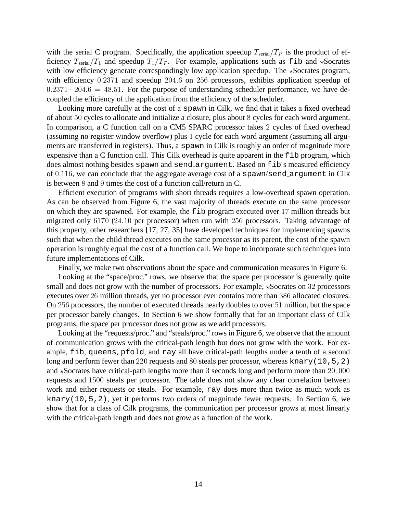with the serial C program. Specifically, the application speedup  $T_{\text{serial}}/T_P$  is the product of efficiency  $T_{\text{serial}}/T_1$  and speedup  $T_1/T_P$ . For example, applications such as fib and  $\star$ Socrates with low efficiency generate correspondingly low application speedup. The  $\star$ Socrates program, with efficiency 0.2371 and speedup 204.6 on 256 processors, exhibits application speedup of  $0.2371 \cdot 204.6 = 48.51$ . For the purpose of understanding scheduler performance, we have decoupled the efficiency of the application from the efficiency of the scheduler.

Looking more carefully at the cost of a spawn in Cilk, we find that it takes a fixed overhead of about <sup>50</sup> cycles to allocate and initialize a closure, plus about <sup>8</sup> cycles for each word argument. In comparison, a C function call on a CM5 SPARC processor takes <sup>2</sup> cycles of fixed overhead (assuming no register window overflow) plus <sup>1</sup> cycle for each word argument (assuming all arguments are transferred in registers). Thus, a spawn in Cilk is roughly an order of magnitude more expensive than a C function call. This Cilk overhead is quite apparent in the fib program, which does almost nothing besides spawn and send argument. Based on fib's measured efficiency of 0:116, we can conclude that the aggregate average cost of a spawn/send argument in Cilk is between <sup>8</sup> and <sup>9</sup> times the cost of a function call/return in C.

Efficient execution of programs with short threads requires a low-overhead spawn operation. As can be observed from Figure 6, the vast majority of threads execute on the same processor on which they are spawned. For example, the fib program executed over <sup>17</sup> million threads but migrated only <sup>6170</sup> (24:10 per processor) when run with <sup>256</sup> processors. Taking advantage of this property, other researchers [17, 27, 35] have developed techniques for implementing spawns such that when the child thread executes on the same processor as its parent, the cost of the spawn operation is roughly equal the cost of a function call. We hope to incorporate such techniques into future implementations of Cilk.

Finally, we make two observations about the space and communication measures in Figure 6.

Looking at the "space/proc." rows, we observe that the space per processor is generally quite small and does not grow with the number of processors. For example,  $\star$ Socrates on 32 processors executes over <sup>26</sup> million threads, yet no processor ever contains more than <sup>386</sup> allocated closures. On <sup>256</sup> processors, the number of executed threads nearly doubles to over <sup>51</sup> million, but the space per processor barely changes. In Section 6 we show formally that for an important class of Cilk programs, the space per processor does not grow as we add processors.

Looking at the "requests/proc." and "steals/proc." rows in Figure 6, we observe that the amount of communication grows with the critical-path length but does not grow with the work. For example, fib, queens, pfold, and ray all have critical-path lengths under a tenth of a second long and perform fewer than 220 requests and 80 steals per processor, whereas knary (10,5,2) and  $\star$ Socrates have critical-path lengths more than 3 seconds long and perform more than 20,000 requests and <sup>1500</sup> steals per processor. The table does not show any clear correlation between work and either requests or steals. For example, ray does more than twice as much work as knary( $10, 5, 2$ ), yet it performs two orders of magnitude fewer requests. In Section 6, we show that for a class of Cilk programs, the communication per processor grows at most linearly with the critical-path length and does not grow as a function of the work.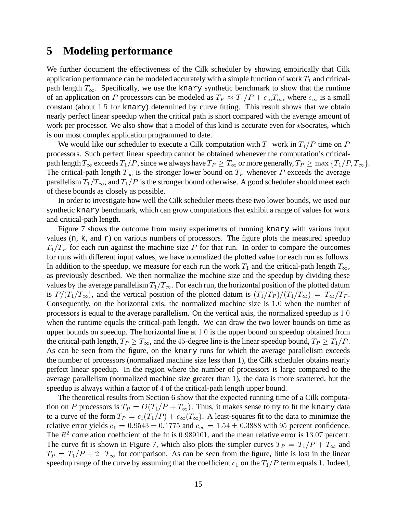## **5 Modeling performance**

We further document the effectiveness of the Cilk scheduler by showing empirically that Cilk application performance can be modeled accurately with a simple function of work  $T_1$  and criticalpath length  $T_{\infty}$ . Specifically, we use the knary synthetic benchmark to show that the runtime of an application on P processors can be modeled as  $T_P \approx T_1/P + c_\infty T_\infty$ , where  $c_\infty$  is a small constant (about 1:5 for knary) determined by curve fitting. This result shows that we obtain nearly perfect linear speedup when the critical path is short compared with the average amount of work per processor. We also show that a model of this kind is accurate even for  $\star$ Socrates, which is our most complex application programmed to date.

We would like our scheduler to execute a Cilk computation with  $T_1$  work in  $T_1/P$  time on P processors. Such perfect linear speedup cannot be obtained whenever the computation's criticalpath length  $T_\infty$  exceeds  $T_1/P$ , since we always have  $T_P \ge T_\infty$  or more generally,  $T_P \ge \max\{T_1/P, T_\infty\}.$ The critical-path length  $T_{\infty}$  is the stronger lower bound on  $T_P$  whenever P exceeds the average parallelism  $T_1/T_\infty$ , and  $T_1/P$  is the stronger bound otherwise. A good scheduler should meet each of these bounds as closely as possible.

In order to investigate how well the Cilk scheduler meets these two lower bounds, we used our synthetic knary benchmark, which can grow computations that exhibit a range of values for work and critical-path length.

Figure 7 shows the outcome from many experiments of running knary with various input values  $(n, k, and r)$  on various numbers of processors. The figure plots the measured speedup  $T_1/T_P$  for each run against the machine size P for that run. In order to compare the outcomes for runs with different input values, we have normalized the plotted value for each run as follows. In addition to the speedup, we measure for each run the work  $T_1$  and the critical-path length  $T_{\infty}$ , as previously described. We then normalize the machine size and the speedup by dividing these values by the average parallelism  $T_1/T_\infty$ . For each run, the horizontal position of the plotted datum is  $P/(T_1/T_\infty)$ , and the vertical position of the plotted datum is  $(T_1/T_P)/(T_1/T_\infty) = T_\infty/T_P$ . Consequently, on the horizontal axis, the normalized machine size is 1:0 when the number of processors is equal to the average parallelism. On the vertical axis, the normalized speedup is 1:0 when the runtime equals the critical-path length. We can draw the two lower bounds on time as upper bounds on speedup. The horizontal line at 1:0 is the upper bound on speedup obtained from the critical-path length,  $T_P \geq T_\infty$ , and the 45-degree line is the linear speedup bound,  $T_P \geq T_1/P$ . As can be seen from the figure, on the knary runs for which the average parallelism exceeds the number of processors (normalized machine size less than <sup>1</sup>), the Cilk scheduler obtains nearly perfect linear speedup. In the region where the number of processors is large compared to the average parallelism (normalized machine size greater than <sup>1</sup>), the data is more scattered, but the speedup is always within a factor of <sup>4</sup> of the critical-path length upper bound.

The theoretical results from Section 6 show that the expected running time of a Cilk computation on P processors is  $T_P = O(T_1/P + T_\infty)$ . Thus, it makes sense to try to fit the knary data to a curve of the form  $T_P = c_1(T_1/P) + c_\infty(T_\infty)$ . A least-squares fit to the data to minimize the relative error yields  $c_1 = 0.9543 \pm 0.1775$  and  $c_{\infty} = 1.54 \pm 0.3888$  with 95 percent confidence. The  $R^2$  correlation coefficient of the fit is 0.989101, and the mean relative error is 13.07 percent. The curve fit is shown in Figure 7, which also plots the simpler curves  $T_P = T_1/P + T_{\infty}$  and  $T_P = T_1/P + 2 \cdot T_\infty$  for comparison. As can be seen from the figure, little is lost in the linear speedup range of the curve by assuming that the coefficient  $c_1$  on the  $T_1/P$  term equals 1. Indeed,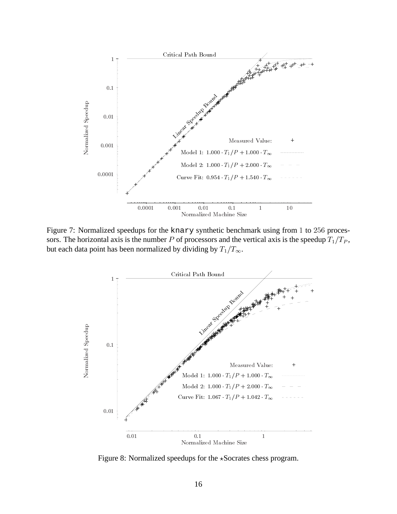

Figure 7: Normalized speedups for the knary synthetic benchmark using from <sup>1</sup> to <sup>256</sup> processors. The horizontal axis is the number P of processors and the vertical axis is the speedup  $T_1/T_P$ , but each data point has been normalized by dividing by  $T_1/T_\infty$ .



Figure 8: Normalized speedups for the  $\star$ Socrates chess program.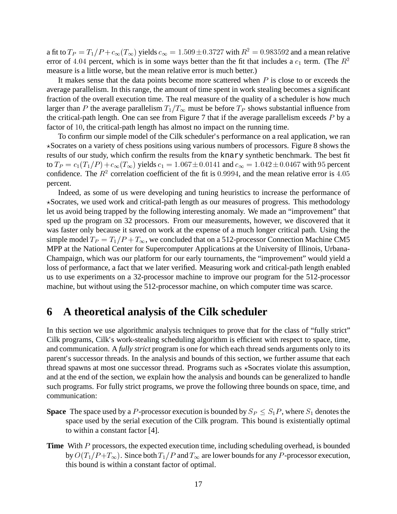a fit to  $T_P = T_1/P + c_\infty(T_\infty)$  yields  $c_\infty = 1.509 \pm 0.3727$  with  $R^2 = 0.983592$  and a mean relative error of 4.04 percent, which is in some ways better than the fit that includes a  $c_1$  term. (The  $R^2$ measure is a little worse, but the mean relative error is much better.)

It makes sense that the data points become more scattered when  $P$  is close to or exceeds the average parallelism. In this range, the amount of time spent in work stealing becomes a significant fraction of the overall execution time. The real measure of the quality of a scheduler is how much larger than P the average parallelism  $T_1/T_\infty$  must be before  $T_P$  shows substantial influence from the critical-path length. One can see from Figure 7 that if the average parallelism exceeds  $P$  by a factor of <sup>10</sup>, the critical-path length has almost no impact on the running time.

To confirm our simple model of the Cilk scheduler's performance on a real application, we ran ?Socrates on a variety of chess positions using various numbers of processors. Figure 8 shows the results of our study, which confirm the results from the knary synthetic benchmark. The best fit to  $T_P = c_1(T_1/P) + c_\infty(T_\infty)$  yields  $c_1 = 1.067 \pm 0.0141$  and  $c_\infty = 1.042 \pm 0.0467$  with 95 percent confidence. The  $R^2$  correlation coefficient of the fit is 0.9994, and the mean relative error is 4.05 percent.

Indeed, as some of us were developing and tuning heuristics to increase the performance of  $\star$ Socrates, we used work and critical-path length as our measures of progress. This methodology let us avoid being trapped by the following interesting anomaly. We made an "improvement" that sped up the program on 32 processors. From our measurements, however, we discovered that it was faster only because it saved on work at the expense of a much longer critical path. Using the simple model  $T_P = T_1/P + T_\infty$ , we concluded that on a 512-processor Connection Machine CM5 MPP at the National Center for Supercomputer Applications at the University of Illinois, Urbana-Champaign, which was our platform for our early tournaments, the "improvement" would yield a loss of performance, a fact that we later verified. Measuring work and critical-path length enabled us to use experiments on a 32-processor machine to improve our program for the 512-processor machine, but without using the 512-processor machine, on which computer time was scarce.

#### **6 A theoretical analysis of the Cilk scheduler**

In this section we use algorithmic analysis techniques to prove that for the class of "fully strict" Cilk programs, Cilk's work-stealing scheduling algorithm is efficient with respect to space, time, and communication. A *fully strict* program is one for which each thread sends arguments only to its parent's successor threads. In the analysis and bounds of this section, we further assume that each thread spawns at most one successor thread. Programs such as  $\star$ Socrates violate this assumption, and at the end of the section, we explain how the analysis and bounds can be generalized to handle such programs. For fully strict programs, we prove the following three bounds on space, time, and communication:

- **Space** The space used by a P-processor execution is bounded by  $S_P \leq S_1P$ , where  $S_1$  denotes the space used by the serial execution of the Cilk program. This bound is existentially optimal to within a constant factor [4].
- **Time** With P processors, the expected execution time, including scheduling overhead, is bounded by  $O(T_1/P + T_\infty)$ . Since both  $T_1/P$  and  $T_\infty$  are lower bounds for any P-processor execution, this bound is within a constant factor of optimal.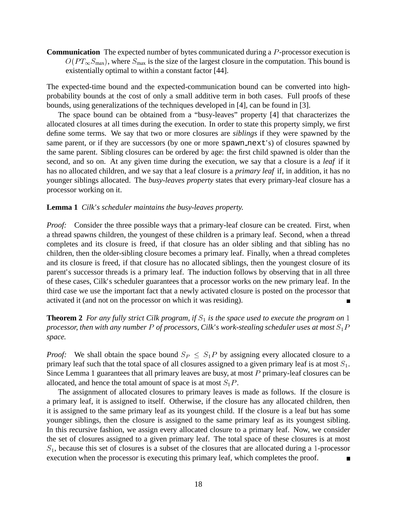**Communication** The expected number of bytes communicated during a P-processor execution is  $O(PT_\infty S_{\text{max}})$ , where  $S_{\text{max}}$  is the size of the largest closure in the computation. This bound is existentially optimal to within a constant factor [44].

The expected-time bound and the expected-communication bound can be converted into highprobability bounds at the cost of only a small additive term in both cases. Full proofs of these bounds, using generalizations of the techniques developed in [4], can be found in [3].

The space bound can be obtained from a "busy-leaves" property [4] that characterizes the allocated closures at all times during the execution. In order to state this property simply, we first define some terms. We say that two or more closures are *siblings* if they were spawned by the same parent, or if they are successors (by one or more spawn next's) of closures spawned by the same parent. Sibling closures can be ordered by age: the first child spawned is older than the second, and so on. At any given time during the execution, we say that a closure is a *leaf* if it has no allocated children, and we say that a leaf closure is a *primary leaf* if, in addition, it has no younger siblings allocated. The *busy-leaves property* states that every primary-leaf closure has a processor working on it.

#### **Lemma 1** *Cilk's scheduler maintains the busy-leaves property.*

*Proof:* Consider the three possible ways that a primary-leaf closure can be created. First, when a thread spawns children, the youngest of these children is a primary leaf. Second, when a thread completes and its closure is freed, if that closure has an older sibling and that sibling has no children, then the older-sibling closure becomes a primary leaf. Finally, when a thread completes and its closure is freed, if that closure has no allocated siblings, then the youngest closure of its parent's successor threads is a primary leaf. The induction follows by observing that in all three of these cases, Cilk's scheduler guarantees that a processor works on the new primary leaf. In the third case we use the important fact that a newly activated closure is posted on the processor that activated it (and not on the processor on which it was residing).  $\blacksquare$ 

**Theorem 2** For any fully strict Cilk program, if  $S<sub>1</sub>$  is the space used to execute the program on 1 *processor, then with any number*  $P$  *of processors, Cilk's work-stealing scheduler uses at most*  $S_1P$ *space.*

*Proof:* We shall obtain the space bound  $S_P \leq S_1P$  by assigning every allocated closure to a primary leaf such that the total space of all closures assigned to a given primary leaf is at most  $S_1$ . Since Lemma 1 guarantees that all primary leaves are busy, at most  $P$  primary-leaf closures can be allocated, and hence the total amount of space is at most  $S_1P$ .

The assignment of allocated closures to primary leaves is made as follows. If the closure is a primary leaf, it is assigned to itself. Otherwise, if the closure has any allocated children, then it is assigned to the same primary leaf as its youngest child. If the closure is a leaf but has some younger siblings, then the closure is assigned to the same primary leaf as its youngest sibling. In this recursive fashion, we assign every allocated closure to a primary leaf. Now, we consider the set of closures assigned to a given primary leaf. The total space of these closures is at most  $S_1$ , because this set of closures is a subset of the closures that are allocated during a 1-processor execution when the processor is executing this primary leaf, which completes the proof.  $\blacksquare$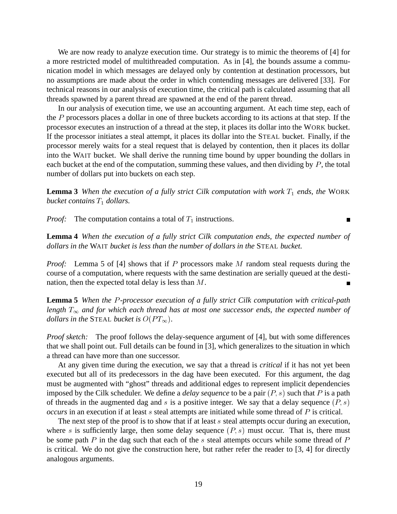We are now ready to analyze execution time. Our strategy is to mimic the theorems of [4] for a more restricted model of multithreaded computation. As in [4], the bounds assume a communication model in which messages are delayed only by contention at destination processors, but no assumptions are made about the order in which contending messages are delivered [33]. For technical reasons in our analysis of execution time, the critical path is calculated assuming that all threads spawned by a parent thread are spawned at the end of the parent thread.

In our analysis of execution time, we use an accounting argument. At each time step, each of the  $P$  processors places a dollar in one of three buckets according to its actions at that step. If the processor executes an instruction of a thread at the step, it places its dollar into the WORK bucket. If the processor initiates a steal attempt, it places its dollar into the STEAL bucket. Finally, if the processor merely waits for a steal request that is delayed by contention, then it places its dollar into the WAIT bucket. We shall derive the running time bound by upper bounding the dollars in each bucket at the end of the computation, summing these values, and then dividing by  $P$ , the total number of dollars put into buckets on each step.

**Lemma 3** When the execution of a fully strict Cilk computation with work  $T_1$  ends, the WORK *bucket contains*  $T_1$  *dollars.* 

*Proof:* The computation contains a total of  $T_1$  instructions.

**Lemma 4** *When the execution of a fully strict Cilk computation ends, the expected number of dollars in the* WAIT *bucket is less than the number of dollars in the* STEAL *bucket.*

*Proof:* Lemma 5 of [4] shows that if P processors make M random steal requests during the course of a computation, where requests with the same destination are serially queued at the destination, then the expected total delay is less than <sup>M</sup>.

**Lemma 5** *When the P-processor execution of a fully strict Cilk computation with critical-path length*  $T_{\infty}$  *and for which each thread has at most one successor ends, the expected number of dollars in the* STEAL *bucket is*  $O(PT_\infty)$ *.* 

*Proof sketch:* The proof follows the delay-sequence argument of [4], but with some differences that we shall point out. Full details can be found in [3], which generalizes to the situation in which a thread can have more than one successor.

At any given time during the execution, we say that a thread is *critical* if it has not yet been executed but all of its predecessors in the dag have been executed. For this argument, the dag must be augmented with "ghost" threads and additional edges to represent implicit dependencies imposed by the Cilk scheduler. We define a *delay sequence* to be a pair  $(P, s)$  such that P is a path of threads in the augmented dag and s is a positive integer. We say that a delay sequence  $(P, s)$ *occurs* in an execution if at least s steal attempts are initiated while some thread of P is critical.

The next step of the proof is to show that if at least  $s$  steal attempts occur during an execution, where s is sufficiently large, then some delay sequence  $(P, s)$  must occur. That is, there must be some path  $P$  in the dag such that each of the  $s$  steal attempts occurs while some thread of  $P$ is critical. We do not give the construction here, but rather refer the reader to [3, 4] for directly analogous arguments.

 $\blacksquare$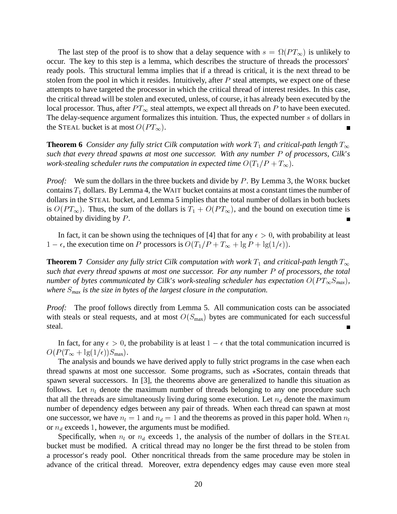The last step of the proof is to show that a delay sequence with  $s = \Omega(PT_{\infty})$  is unlikely to occur. The key to this step is a lemma, which describes the structure of threads the processors' ready pools. This structural lemma implies that if a thread is critical, it is the next thread to be stolen from the pool in which it resides. Intuitively, after  $P$  steal attempts, we expect one of these attempts to have targeted the processor in which the critical thread of interest resides. In this case, the critical thread will be stolen and executed, unless, of course, it has already been executed by the local processor. Thus, after  $PT_{\infty}$  steal attempts, we expect all threads on P to have been executed. The delay-sequence argument formalizes this intuition. Thus, the expected number s of dollars in the STEAL bucket is at most  $O(PT_{\infty})$ . п

**Theorem 6** *Consider any fully strict Cilk computation with work*  $T_1$  *and critical-path length*  $T_\infty$ *such that every thread spawns at most one successor. With any number* <sup>P</sup> *of processors, Cilk's work-stealing scheduler runs the computation in expected time*  $O(T_1/P + T_\infty)$ *.* 

*Proof:* We sum the dollars in the three buckets and divide by P. By Lemma 3, the WORK bucket contains  $T_1$  dollars. By Lemma 4, the WAIT bucket contains at most a constant times the number of dollars in the STEAL bucket, and Lemma 5 implies that the total number of dollars in both buckets is  $O(PT_\infty)$ . Thus, the sum of the dollars is  $T_1 + O(PT_\infty)$ , and the bound on execution time is obtained by dividing by  $P$ .

In fact, it can be shown using the techniques of [4] that for any  $\epsilon > 0$ , with probability at least  $1 - \epsilon$ , the execution time on P processors is  $O(T_1/P + T_\infty + \lg P + \lg(1/\epsilon)).$ 

**Theorem 7** *Consider any fully strict Cilk computation with work*  $T_1$  *and critical-path length*  $T_{\infty}$ *such that every thread spawns at most one successor. For any number* <sup>P</sup> *of processors, the total number of bytes communicated by Cilk's work-stealing scheduler has expectation*  $O(PT_{\infty}S_{max})$ , *where* <sup>S</sup>*max is the size in bytes of the largest closure in the computation.*

*Proof:* The proof follows directly from Lemma 5. All communication costs can be associated with steals or steal requests, and at most  $O(S_{\text{max}})$  bytes are communicated for each successful steal.  $\blacksquare$ 

In fact, for any  $\epsilon > 0$ , the probability is at least  $1 - \epsilon$  that the total communication incurred is  $O(P(T_\infty + \lg(1/\epsilon))S_{\max}).$ 

The analysis and bounds we have derived apply to fully strict programs in the case when each thread spawns at most one successor. Some programs, such as  $\star$ Socrates, contain threads that spawn several successors. In [3], the theorems above are generalized to handle this situation as follows. Let  $n_l$  denote the maximum number of threads belonging to any one procedure such that all the threads are simultaneously living during some execution. Let  $n_d$  denote the maximum number of dependency edges between any pair of threads. When each thread can spawn at most one successor, we have  $n_l = 1$  and  $n_d = 1$  and the theorems as proved in this paper hold. When  $n_l$ or  $n_d$  exceeds 1, however, the arguments must be modified.

Specifically, when  $n_l$  or  $n_d$  exceeds 1, the analysis of the number of dollars in the STEAL bucket must be modified. A critical thread may no longer be the first thread to be stolen from a processor's ready pool. Other noncritical threads from the same procedure may be stolen in advance of the critical thread. Moreover, extra dependency edges may cause even more steal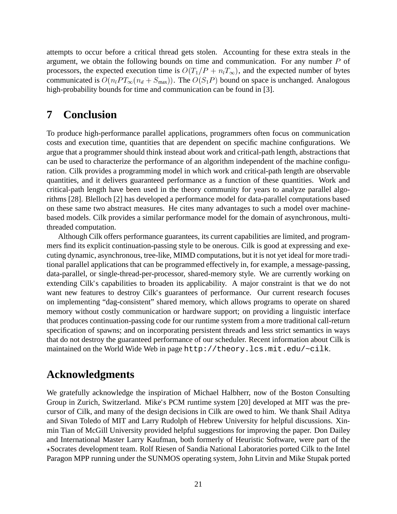attempts to occur before a critical thread gets stolen. Accounting for these extra steals in the argument, we obtain the following bounds on time and communication. For any number  $P$  of processors, the expected execution time is  $O(T_1/P + n_lT_\infty)$ , and the expected number of bytes communicated is  $O(n_l PT_\infty(n_d + S_{\text{max}}))$ . The  $O(S_1P)$  bound on space is unchanged. Analogous high-probability bounds for time and communication can be found in [3].

## **7 Conclusion**

To produce high-performance parallel applications, programmers often focus on communication costs and execution time, quantities that are dependent on specific machine configurations. We argue that a programmer should think instead about work and critical-path length, abstractions that can be used to characterize the performance of an algorithm independent of the machine configuration. Cilk provides a programming model in which work and critical-path length are observable quantities, and it delivers guaranteed performance as a function of these quantities. Work and critical-path length have been used in the theory community for years to analyze parallel algorithms [28]. Blelloch [2] has developed a performance model for data-parallel computations based on these same two abstract measures. He cites many advantages to such a model over machinebased models. Cilk provides a similar performance model for the domain of asynchronous, multithreaded computation.

Although Cilk offers performance guarantees, its current capabilities are limited, and programmers find its explicit continuation-passing style to be onerous. Cilk is good at expressing and executing dynamic, asynchronous, tree-like, MIMD computations, but it is not yet ideal for more traditional parallel applications that can be programmed effectively in, for example, a message-passing, data-parallel, or single-thread-per-processor, shared-memory style. We are currently working on extending Cilk's capabilities to broaden its applicability. A major constraint is that we do not want new features to destroy Cilk's guarantees of performance. Our current research focuses on implementing "dag-consistent" shared memory, which allows programs to operate on shared memory without costly communication or hardware support; on providing a linguistic interface that produces continuation-passing code for our runtime system from a more traditional call-return specification of spawns; and on incorporating persistent threads and less strict semantics in ways that do not destroy the guaranteed performance of our scheduler. Recent information about Cilk is maintained on the World Wide Web in page http://theory.lcs.mit.edu/~cilk.

## **Acknowledgments**

We gratefully acknowledge the inspiration of Michael Halbherr, now of the Boston Consulting Group in Zurich, Switzerland. Mike's PCM runtime system [20] developed at MIT was the precursor of Cilk, and many of the design decisions in Cilk are owed to him. We thank Shail Aditya and Sivan Toledo of MIT and Larry Rudolph of Hebrew University for helpful discussions. Xinmin Tian of McGill University provided helpful suggestions for improving the paper. Don Dailey and International Master Larry Kaufman, both formerly of Heuristic Software, were part of the ?Socrates development team. Rolf Riesen of Sandia National Laboratories ported Cilk to the Intel Paragon MPP running under the SUNMOS operating system, John Litvin and Mike Stupak ported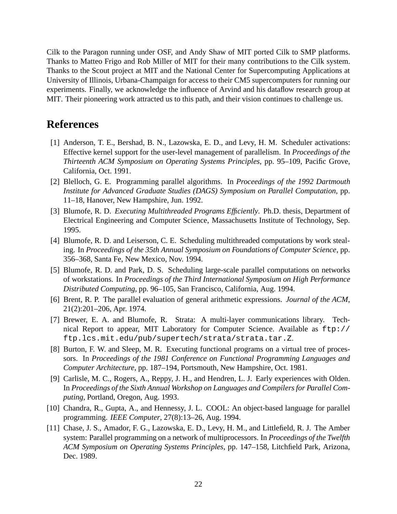Cilk to the Paragon running under OSF, and Andy Shaw of MIT ported Cilk to SMP platforms. Thanks to Matteo Frigo and Rob Miller of MIT for their many contributions to the Cilk system. Thanks to the Scout project at MIT and the National Center for Supercomputing Applications at University of Illinois, Urbana-Champaign for access to their CM5 supercomputers for running our experiments. Finally, we acknowledge the influence of Arvind and his dataflow research group at MIT. Their pioneering work attracted us to this path, and their vision continues to challenge us.

## **References**

- [1] Anderson, T. E., Bershad, B. N., Lazowska, E. D., and Levy, H. M. Scheduler activations: Effective kernel support for the user-level management of parallelism. In *Proceedings of the Thirteenth ACM Symposium on Operating Systems Principles*, pp. 95–109, Pacific Grove, California, Oct. 1991.
- [2] Blelloch, G. E. Programming parallel algorithms. In *Proceedings of the 1992 Dartmouth Institute for Advanced Graduate Studies (DAGS) Symposium on Parallel Computation*, pp. 11–18, Hanover, New Hampshire, Jun. 1992.
- [3] Blumofe, R. D. *Executing Multithreaded Programs Efficiently*. Ph.D. thesis, Department of Electrical Engineering and Computer Science, Massachusetts Institute of Technology, Sep. 1995.
- [4] Blumofe, R. D. and Leiserson, C. E. Scheduling multithreaded computations by work stealing. In *Proceedings of the 35th Annual Symposium on Foundations of Computer Science*, pp. 356–368, Santa Fe, New Mexico, Nov. 1994.
- [5] Blumofe, R. D. and Park, D. S. Scheduling large-scale parallel computations on networks of workstations. In *Proceedings of the Third International Symposium on High Performance Distributed Computing*, pp. 96–105, San Francisco, California, Aug. 1994.
- [6] Brent, R. P. The parallel evaluation of general arithmetic expressions. *Journal of the ACM*, 21(2):201–206, Apr. 1974.
- [7] Brewer, E. A. and Blumofe, R. Strata: A multi-layer communications library. Technical Report to appear, MIT Laboratory for Computer Science. Available as  $ftp://$ ftp.lcs.mit.edu/pub/supertech/strata/strata.tar.Z.
- [8] Burton, F. W. and Sleep, M. R. Executing functional programs on a virtual tree of processors. In *Proceedings of the 1981 Conference on Functional Programming Languages and Computer Architecture*, pp. 187–194, Portsmouth, New Hampshire, Oct. 1981.
- [9] Carlisle, M. C., Rogers, A., Reppy, J. H., and Hendren, L. J. Early experiences with Olden. In *Proceedings of the Sixth Annual Workshop on Languages and Compilers for Parallel Computing*, Portland, Oregon, Aug. 1993.
- [10] Chandra, R., Gupta, A., and Hennessy, J. L. COOL: An object-based language for parallel programming. *IEEE Computer*, 27(8):13–26, Aug. 1994.
- [11] Chase, J. S., Amador, F. G., Lazowska, E. D., Levy, H. M., and Littlefield, R. J. The Amber system: Parallel programming on a network of multiprocessors. In *Proceedings of the Twelfth ACM Symposium on Operating Systems Principles*, pp. 147–158, Litchfield Park, Arizona, Dec. 1989.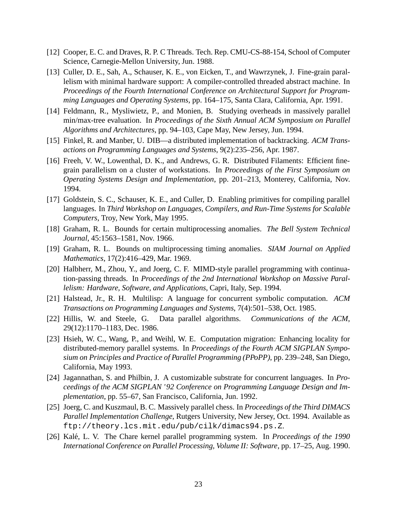- [12] Cooper, E. C. and Draves, R. P. C Threads. Tech. Rep. CMU-CS-88-154, School of Computer Science, Carnegie-Mellon University, Jun. 1988.
- [13] Culler, D. E., Sah, A., Schauser, K. E., von Eicken, T., and Wawrzynek, J. Fine-grain parallelism with minimal hardware support: A compiler-controlled threaded abstract machine. In *Proceedings of the Fourth International Conference on Architectural Support for Programming Languages and Operating Systems*, pp. 164–175, Santa Clara, California, Apr. 1991.
- [14] Feldmann, R., Mysliwietz, P., and Monien, B. Studying overheads in massively parallel min/max-tree evaluation. In *Proceedings of the Sixth Annual ACM Symposium on Parallel Algorithms and Architectures*, pp. 94–103, Cape May, New Jersey, Jun. 1994.
- [15] Finkel, R. and Manber, U. DIB—a distributed implementation of backtracking. *ACM Transactions on Programming Languages and Systems*, 9(2):235–256, Apr. 1987.
- [16] Freeh, V. W., Lowenthal, D. K., and Andrews, G. R. Distributed Filaments: Efficient finegrain parallelism on a cluster of workstations. In *Proceedings of the First Symposium on Operating Systems Design and Implementation*, pp. 201–213, Monterey, California, Nov. 1994.
- [17] Goldstein, S. C., Schauser, K. E., and Culler, D. Enabling primitives for compiling parallel languages. In *Third Workshop on Languages, Compilers, and Run-Time Systems for Scalable Computers*, Troy, New York, May 1995.
- [18] Graham, R. L. Bounds for certain multiprocessing anomalies. *The Bell System Technical Journal*, 45:1563–1581, Nov. 1966.
- [19] Graham, R. L. Bounds on multiprocessing timing anomalies. *SIAM Journal on Applied Mathematics*, 17(2):416–429, Mar. 1969.
- [20] Halbherr, M., Zhou, Y., and Joerg, C. F. MIMD-style parallel programming with continuation-passing threads. In *Proceedings of the 2nd International Workshop on Massive Parallelism: Hardware, Software, and Applications*, Capri, Italy, Sep. 1994.
- [21] Halstead, Jr., R. H. Multilisp: A language for concurrent symbolic computation. *ACM Transactions on Programming Languages and Systems*, 7(4):501–538, Oct. 1985.
- [22] Hillis, W. and Steele, G. Data parallel algorithms. *Communications of the ACM*, 29(12):1170–1183, Dec. 1986.
- [23] Hsieh, W. C., Wang, P., and Weihl, W. E. Computation migration: Enhancing locality for distributed-memory parallel systems. In *Proceedings of the Fourth ACM SIGPLAN Symposium on Principles and Practice of Parallel Programming (PPoPP)*, pp. 239–248, San Diego, California, May 1993.
- [24] Jagannathan, S. and Philbin, J. A customizable substrate for concurrent languages. In *Proceedings of the ACM SIGPLAN '92 Conference on Programming Language Design and Implementation*, pp. 55–67, San Francisco, California, Jun. 1992.
- [25] Joerg, C. and Kuszmaul, B. C. Massively parallel chess. In *Proceedings of the Third DIMACS Parallel Implementation Challenge*, Rutgers University, New Jersey, Oct. 1994. Available as ftp://theory.lcs.mit.edu/pub/cilk/dimacs94.ps.Z.
- [26] Kal´e, L. V. The Chare kernel parallel programming system. In *Proceedings of the 1990 International Conference on Parallel Processing, Volume II: Software*, pp. 17–25, Aug. 1990.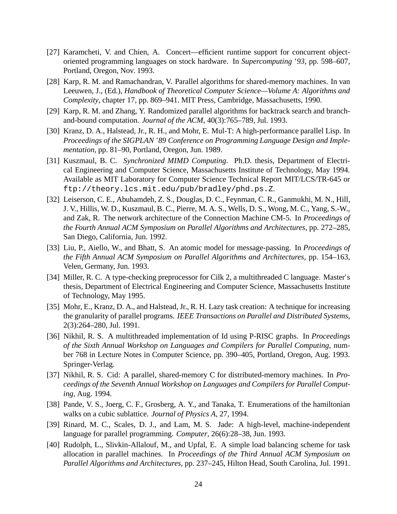- [27] Karamcheti, V. and Chien, A. Concert—efficient runtime support for concurrent objectoriented programming languages on stock hardware. In *Supercomputing '93*, pp. 598–607, Portland, Oregon, Nov. 1993.
- [28] Karp, R. M. and Ramachandran, V. Parallel algorithms for shared-memory machines. In van Leeuwen, J., (Ed.), *Handbook of Theoretical Computer Science—Volume A: Algorithms and Complexity*, chapter 17, pp. 869–941. MIT Press, Cambridge, Massachusetts, 1990.
- [29] Karp, R. M. and Zhang, Y. Randomized parallel algorithms for backtrack search and branchand-bound computation. *Journal of the ACM*, 40(3):765–789, Jul. 1993.
- [30] Kranz, D. A., Halstead, Jr., R. H., and Mohr, E. Mul-T: A high-performance parallel Lisp. In *Proceedings of the SIGPLAN '89 Conference on Programming Language Design and Implementation*, pp. 81–90, Portland, Oregon, Jun. 1989.
- [31] Kuszmaul, B. C. *Synchronized MIMD Computing*. Ph.D. thesis, Department of Electrical Engineering and Computer Science, Massachusetts Institute of Technology, May 1994. Available as MIT Laboratory for Computer Science Technical Report MIT/LCS/TR-645 or ftp://theory.lcs.mit.edu/pub/bradley/phd.ps.Z.
- [32] Leiserson, C. E., Abuhamdeh, Z. S., Douglas, D. C., Feynman, C. R., Ganmukhi, M. N., Hill, J. V., Hillis, W. D., Kuszmaul, B. C., Pierre, M. A. S., Wells, D. S., Wong, M. C., Yang, S.-W., and Zak, R. The network architecture of the Connection Machine CM-5. In *Proceedings of the Fourth Annual ACM Symposium on Parallel Algorithms and Architectures*, pp. 272–285, San Diego, California, Jun. 1992.
- [33] Liu, P., Aiello, W., and Bhatt, S. An atomic model for message-passing. In *Proceedings of the Fifth Annual ACM Symposium on Parallel Algorithms and Architectures*, pp. 154–163, Velen, Germany, Jun. 1993.
- [34] Miller, R. C. A type-checking preprocessor for Cilk 2, a multithreaded C language. Master's thesis, Department of Electrical Engineering and Computer Science, Massachusetts Institute of Technology, May 1995.
- [35] Mohr, E., Kranz, D. A., and Halstead, Jr., R. H. Lazy task creation: A technique for increasing the granularity of parallel programs. *IEEE Transactions on Parallel and Distributed Systems*, 2(3):264–280, Jul. 1991.
- [36] Nikhil, R. S. A multithreaded implementation of Id using P-RISC graphs. In *Proceedings of the Sixth Annual Workshop on Languages and Compilers for Parallel Computing*, number 768 in Lecture Notes in Computer Science, pp. 390–405, Portland, Oregon, Aug. 1993. Springer-Verlag.
- [37] Nikhil, R. S. Cid: A parallel, shared-memory C for distributed-memory machines. In *Proceedings of the Seventh Annual Workshop on Languages and Compilers for Parallel Computing*, Aug. 1994.
- [38] Pande, V. S., Joerg, C. F., Grosberg, A. Y., and Tanaka, T. Enumerations of the hamiltonian walks on a cubic sublattice. *Journal of Physics A*, 27, 1994.
- [39] Rinard, M. C., Scales, D. J., and Lam, M. S. Jade: A high-level, machine-independent language for parallel programming. *Computer*, 26(6):28–38, Jun. 1993.
- [40] Rudolph, L., Slivkin-Allalouf, M., and Upfal, E. A simple load balancing scheme for task allocation in parallel machines. In *Proceedings of the Third Annual ACM Symposium on Parallel Algorithms and Architectures*, pp. 237–245, Hilton Head, South Carolina, Jul. 1991.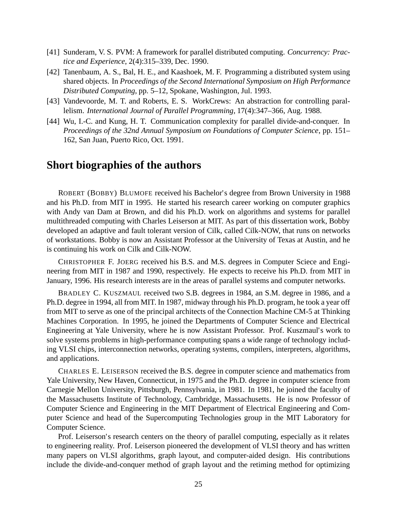- [41] Sunderam, V. S. PVM: A framework for parallel distributed computing. *Concurrency: Practice and Experience*, 2(4):315–339, Dec. 1990.
- [42] Tanenbaum, A. S., Bal, H. E., and Kaashoek, M. F. Programming a distributed system using shared objects. In *Proceedings of the Second International Symposium on High Performance Distributed Computing*, pp. 5–12, Spokane, Washington, Jul. 1993.
- [43] Vandevoorde, M. T. and Roberts, E. S. WorkCrews: An abstraction for controlling parallelism. *International Journal of Parallel Programming*, 17(4):347–366, Aug. 1988.
- [44] Wu, I.-C. and Kung, H. T. Communication complexity for parallel divide-and-conquer. In *Proceedings of the 32nd Annual Symposium on Foundations of Computer Science*, pp. 151– 162, San Juan, Puerto Rico, Oct. 1991.

### **Short biographies of the authors**

ROBERT (BOBBY) BLUMOFE received his Bachelor's degree from Brown University in 1988 and his Ph.D. from MIT in 1995. He started his research career working on computer graphics with Andy van Dam at Brown, and did his Ph.D. work on algorithms and systems for parallel multithreaded computing with Charles Leiserson at MIT. As part of this dissertation work, Bobby developed an adaptive and fault tolerant version of Cilk, called Cilk-NOW, that runs on networks of workstations. Bobby is now an Assistant Professor at the University of Texas at Austin, and he is continuing his work on Cilk and Cilk-NOW.

CHRISTOPHER F. JOERG received his B.S. and M.S. degrees in Computer Sciece and Engineering from MIT in 1987 and 1990, respectively. He expects to receive his Ph.D. from MIT in January, 1996. His research interests are in the areas of parallel systems and computer networks.

BRADLEY C. KUSZMAUL received two S.B. degrees in 1984, an S.M. degree in 1986, and a Ph.D. degree in 1994, all from MIT. In 1987, midway through his Ph.D. program, he took a year off from MIT to serve as one of the principal architects of the Connection Machine CM-5 at Thinking Machines Corporation. In 1995, he joined the Departments of Computer Science and Electrical Engineering at Yale University, where he is now Assistant Professor. Prof. Kuszmaul's work to solve systems problems in high-performance computing spans a wide range of technology including VLSI chips, interconnection networks, operating systems, compilers, interpreters, algorithms, and applications.

CHARLES E. LEISERSON received the B.S. degree in computer science and mathematics from Yale University, New Haven, Connecticut, in 1975 and the Ph.D. degree in computer science from Carnegie Mellon University, Pittsburgh, Pennsylvania, in 1981. In 1981, he joined the faculty of the Massachusetts Institute of Technology, Cambridge, Massachusetts. He is now Professor of Computer Science and Engineering in the MIT Department of Electrical Engineering and Computer Science and head of the Supercomputing Technologies group in the MIT Laboratory for Computer Science.

Prof. Leiserson's research centers on the theory of parallel computing, especially as it relates to engineering reality. Prof. Leiserson pioneered the development of VLSI theory and has written many papers on VLSI algorithms, graph layout, and computer-aided design. His contributions include the divide-and-conquer method of graph layout and the retiming method for optimizing